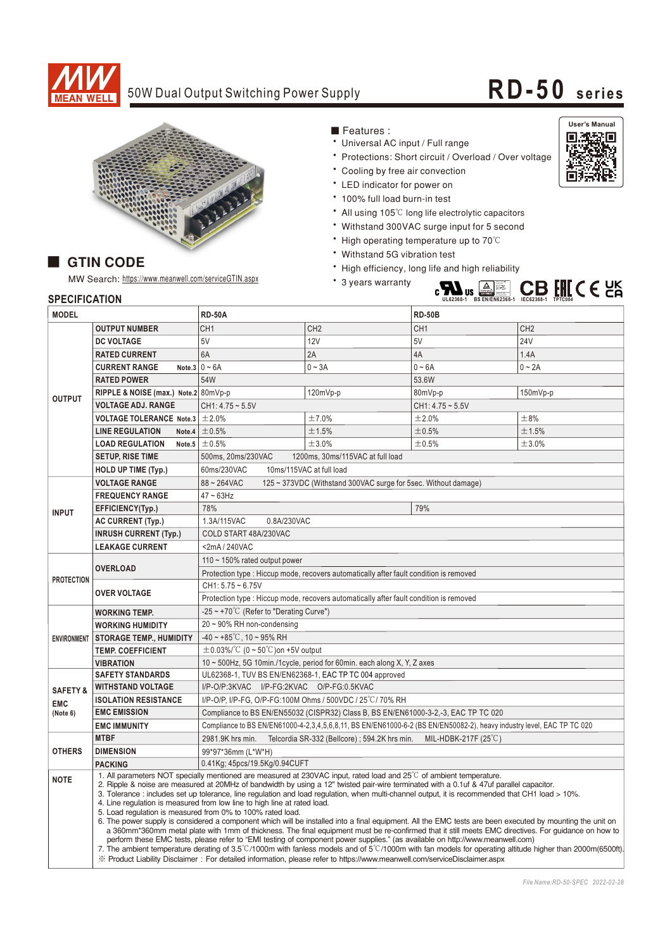

## 50W Dual Output Switching Power Supply **RD-50 series**



MW Search: https://www.meanwell.com/serviceGTIN.aspx

■ Features :

- Universal AC input / Full range
- \* Protections: Short circuit / Overload / Over voltage
- \* Cooling by free air convection
- LED indicator for power on
- \* 100% full load burn-in test
- All using 105°C long life electrolytic capacitors
- Withstand 300VAC surge input for 5 second
- High operating temperature up to 70°C
- Withstand 5G vibration test
- \* High efficiency, long life and high reliability

Bauari germa<br>Sicherheit<br>Sicherheit<br>Sicherheit<br>Els Sicherheit

\* 3 years warranty



## **SPECIFICATION**

| SPECIFICATION       |                                                                                                                                                                                                                                                                                                                                                                                                                                                                                                                                                                                                                                                                                                                                                                                                                                                                                                                                                                                                                                                                                                                                                                                                                                                                                                                          | UL62368-1 BS EN/EN62368-1 IEC62368-1 TPTC004                                                                           |                                  |                    |                 |
|---------------------|--------------------------------------------------------------------------------------------------------------------------------------------------------------------------------------------------------------------------------------------------------------------------------------------------------------------------------------------------------------------------------------------------------------------------------------------------------------------------------------------------------------------------------------------------------------------------------------------------------------------------------------------------------------------------------------------------------------------------------------------------------------------------------------------------------------------------------------------------------------------------------------------------------------------------------------------------------------------------------------------------------------------------------------------------------------------------------------------------------------------------------------------------------------------------------------------------------------------------------------------------------------------------------------------------------------------------|------------------------------------------------------------------------------------------------------------------------|----------------------------------|--------------------|-----------------|
| <b>MODEL</b>        |                                                                                                                                                                                                                                                                                                                                                                                                                                                                                                                                                                                                                                                                                                                                                                                                                                                                                                                                                                                                                                                                                                                                                                                                                                                                                                                          | <b>RD-50A</b>                                                                                                          |                                  | <b>RD-50B</b>      |                 |
|                     | <b>OUTPUT NUMBER</b>                                                                                                                                                                                                                                                                                                                                                                                                                                                                                                                                                                                                                                                                                                                                                                                                                                                                                                                                                                                                                                                                                                                                                                                                                                                                                                     | CH <sub>1</sub>                                                                                                        | CH <sub>2</sub>                  | CH <sub>1</sub>    | CH <sub>2</sub> |
| <b>OUTPUT</b>       | <b>DC VOLTAGE</b>                                                                                                                                                                                                                                                                                                                                                                                                                                                                                                                                                                                                                                                                                                                                                                                                                                                                                                                                                                                                                                                                                                                                                                                                                                                                                                        | 5V                                                                                                                     | 12V                              | 5V                 | <b>24V</b>      |
|                     | <b>RATED CURRENT</b>                                                                                                                                                                                                                                                                                                                                                                                                                                                                                                                                                                                                                                                                                                                                                                                                                                                                                                                                                                                                                                                                                                                                                                                                                                                                                                     | 6A                                                                                                                     | 2A                               | 4A                 | 1.4A            |
|                     | <b>CURRENT RANGE</b>                                                                                                                                                                                                                                                                                                                                                                                                                                                                                                                                                                                                                                                                                                                                                                                                                                                                                                                                                                                                                                                                                                                                                                                                                                                                                                     | Note.3 $0 - 6A$                                                                                                        | $0 - 3A$                         | $0 - 6A$           | $0 - 2A$        |
|                     | <b>RATED POWER</b>                                                                                                                                                                                                                                                                                                                                                                                                                                                                                                                                                                                                                                                                                                                                                                                                                                                                                                                                                                                                                                                                                                                                                                                                                                                                                                       | 54W                                                                                                                    |                                  | 53.6W              |                 |
|                     | RIPPLE & NOISE (max.) Note.2 80mVp-p                                                                                                                                                                                                                                                                                                                                                                                                                                                                                                                                                                                                                                                                                                                                                                                                                                                                                                                                                                                                                                                                                                                                                                                                                                                                                     |                                                                                                                        | 120mVp-p                         | 80mVp-p            | 150mVp-p        |
|                     | <b>VOLTAGE ADJ. RANGE</b>                                                                                                                                                                                                                                                                                                                                                                                                                                                                                                                                                                                                                                                                                                                                                                                                                                                                                                                                                                                                                                                                                                                                                                                                                                                                                                | $CH1: 4.75 - 5.5V$                                                                                                     |                                  | $CH1: 4.75 - 5.5V$ |                 |
|                     | <b>VOLTAGE TOLERANCE Note.3</b>                                                                                                                                                                                                                                                                                                                                                                                                                                                                                                                                                                                                                                                                                                                                                                                                                                                                                                                                                                                                                                                                                                                                                                                                                                                                                          | ±2.0%                                                                                                                  | ±7.0%                            | ±2.0%              | $\pm$ 8%        |
|                     | <b>LINE REGULATION</b><br>Note.4                                                                                                                                                                                                                                                                                                                                                                                                                                                                                                                                                                                                                                                                                                                                                                                                                                                                                                                                                                                                                                                                                                                                                                                                                                                                                         | ±0.5%                                                                                                                  | ±1.5%                            | ±0.5%              | ±1.5%           |
|                     | <b>LOAD REGULATION</b>                                                                                                                                                                                                                                                                                                                                                                                                                                                                                                                                                                                                                                                                                                                                                                                                                                                                                                                                                                                                                                                                                                                                                                                                                                                                                                   | Note.5 $\pm$ 0.5%                                                                                                      | ±3.0%                            | ±0.5%              | ±3.0%           |
|                     | <b>SETUP, RISE TIME</b>                                                                                                                                                                                                                                                                                                                                                                                                                                                                                                                                                                                                                                                                                                                                                                                                                                                                                                                                                                                                                                                                                                                                                                                                                                                                                                  | 500ms, 20ms/230VAC                                                                                                     | 1200ms, 30ms/115VAC at full load |                    |                 |
|                     | HOLD UP TIME (Typ.)                                                                                                                                                                                                                                                                                                                                                                                                                                                                                                                                                                                                                                                                                                                                                                                                                                                                                                                                                                                                                                                                                                                                                                                                                                                                                                      | 60ms/230VAC<br>10ms/115VAC at full load                                                                                |                                  |                    |                 |
| <b>INPUT</b>        | <b>VOLTAGE RANGE</b>                                                                                                                                                                                                                                                                                                                                                                                                                                                                                                                                                                                                                                                                                                                                                                                                                                                                                                                                                                                                                                                                                                                                                                                                                                                                                                     | 88~264VAC<br>125 ~ 373VDC (Withstand 300VAC surge for 5sec. Without damage)                                            |                                  |                    |                 |
|                     | <b>FREQUENCY RANGE</b>                                                                                                                                                                                                                                                                                                                                                                                                                                                                                                                                                                                                                                                                                                                                                                                                                                                                                                                                                                                                                                                                                                                                                                                                                                                                                                   | $47 \sim 63$ Hz                                                                                                        |                                  |                    |                 |
|                     | EFFICIENCY(Typ.)                                                                                                                                                                                                                                                                                                                                                                                                                                                                                                                                                                                                                                                                                                                                                                                                                                                                                                                                                                                                                                                                                                                                                                                                                                                                                                         | 78%                                                                                                                    |                                  | 79%                |                 |
|                     | AC CURRENT (Typ.)                                                                                                                                                                                                                                                                                                                                                                                                                                                                                                                                                                                                                                                                                                                                                                                                                                                                                                                                                                                                                                                                                                                                                                                                                                                                                                        | 1.3A/115VAC<br>0.8A/230VAC                                                                                             |                                  |                    |                 |
|                     | <b>INRUSH CURRENT (Typ.)</b>                                                                                                                                                                                                                                                                                                                                                                                                                                                                                                                                                                                                                                                                                                                                                                                                                                                                                                                                                                                                                                                                                                                                                                                                                                                                                             | COLD START 48A/230VAC                                                                                                  |                                  |                    |                 |
|                     | <b>LEAKAGE CURRENT</b>                                                                                                                                                                                                                                                                                                                                                                                                                                                                                                                                                                                                                                                                                                                                                                                                                                                                                                                                                                                                                                                                                                                                                                                                                                                                                                   | <2mA/240VAC                                                                                                            |                                  |                    |                 |
| <b>PROTECTION</b>   | <b>OVERLOAD</b>                                                                                                                                                                                                                                                                                                                                                                                                                                                                                                                                                                                                                                                                                                                                                                                                                                                                                                                                                                                                                                                                                                                                                                                                                                                                                                          | 110 $\sim$ 150% rated output power                                                                                     |                                  |                    |                 |
|                     |                                                                                                                                                                                                                                                                                                                                                                                                                                                                                                                                                                                                                                                                                                                                                                                                                                                                                                                                                                                                                                                                                                                                                                                                                                                                                                                          | Protection type : Hiccup mode, recovers automatically after fault condition is removed                                 |                                  |                    |                 |
|                     | <b>OVER VOLTAGE</b>                                                                                                                                                                                                                                                                                                                                                                                                                                                                                                                                                                                                                                                                                                                                                                                                                                                                                                                                                                                                                                                                                                                                                                                                                                                                                                      | $CH1: 5.75 - 6.75V$                                                                                                    |                                  |                    |                 |
|                     |                                                                                                                                                                                                                                                                                                                                                                                                                                                                                                                                                                                                                                                                                                                                                                                                                                                                                                                                                                                                                                                                                                                                                                                                                                                                                                                          | Protection type : Hiccup mode, recovers automatically after fault condition is removed                                 |                                  |                    |                 |
| <b>ENVIRONMENT</b>  | <b>WORKING TEMP.</b>                                                                                                                                                                                                                                                                                                                                                                                                                                                                                                                                                                                                                                                                                                                                                                                                                                                                                                                                                                                                                                                                                                                                                                                                                                                                                                     | $-25 \sim +70^{\circ}$ (Refer to "Derating Curve")                                                                     |                                  |                    |                 |
|                     | <b>WORKING HUMIDITY</b>                                                                                                                                                                                                                                                                                                                                                                                                                                                                                                                                                                                                                                                                                                                                                                                                                                                                                                                                                                                                                                                                                                                                                                                                                                                                                                  | 20 ~ 90% RH non-condensing                                                                                             |                                  |                    |                 |
|                     | <b>STORAGE TEMP., HUMIDITY</b>                                                                                                                                                                                                                                                                                                                                                                                                                                                                                                                                                                                                                                                                                                                                                                                                                                                                                                                                                                                                                                                                                                                                                                                                                                                                                           | $-40 \sim +85^{\circ}$ C, 10 ~ 95% RH                                                                                  |                                  |                    |                 |
|                     | <b>TEMP. COEFFICIENT</b>                                                                                                                                                                                                                                                                                                                                                                                                                                                                                                                                                                                                                                                                                                                                                                                                                                                                                                                                                                                                                                                                                                                                                                                                                                                                                                 | $\pm$ 0.03%/°C (0 ~ 50°C)on +5V output                                                                                 |                                  |                    |                 |
|                     | <b>VIBRATION</b>                                                                                                                                                                                                                                                                                                                                                                                                                                                                                                                                                                                                                                                                                                                                                                                                                                                                                                                                                                                                                                                                                                                                                                                                                                                                                                         | 10 ~ 500Hz, 5G 10min./1cycle, period for 60min. each along X, Y, Z axes                                                |                                  |                    |                 |
|                     | <b>SAFETY STANDARDS</b>                                                                                                                                                                                                                                                                                                                                                                                                                                                                                                                                                                                                                                                                                                                                                                                                                                                                                                                                                                                                                                                                                                                                                                                                                                                                                                  | UL62368-1, TUV BS EN/EN62368-1, EAC TP TC 004 approved                                                                 |                                  |                    |                 |
| <b>SAFETY &amp;</b> | <b>WITHSTAND VOLTAGE</b>                                                                                                                                                                                                                                                                                                                                                                                                                                                                                                                                                                                                                                                                                                                                                                                                                                                                                                                                                                                                                                                                                                                                                                                                                                                                                                 | I/P-O/P:3KVAC I/P-FG:2KVAC O/P-FG:0.5KVAC                                                                              |                                  |                    |                 |
| <b>EMC</b>          | <b>ISOLATION RESISTANCE</b>                                                                                                                                                                                                                                                                                                                                                                                                                                                                                                                                                                                                                                                                                                                                                                                                                                                                                                                                                                                                                                                                                                                                                                                                                                                                                              | I/P-O/P, I/P-FG, O/P-FG:100M Ohms / 500VDC / 25 °C / 70% RH                                                            |                                  |                    |                 |
| (Note 6)            | <b>EMC EMISSION</b>                                                                                                                                                                                                                                                                                                                                                                                                                                                                                                                                                                                                                                                                                                                                                                                                                                                                                                                                                                                                                                                                                                                                                                                                                                                                                                      | Compliance to BS EN/EN55032 (CISPR32) Class B, BS EN/EN61000-3-2,-3, EAC TP TC 020                                     |                                  |                    |                 |
|                     | <b>EMC IMMUNITY</b>                                                                                                                                                                                                                                                                                                                                                                                                                                                                                                                                                                                                                                                                                                                                                                                                                                                                                                                                                                                                                                                                                                                                                                                                                                                                                                      | Compliance to BS EN/EN61000-4-2,3,4,5,6,8,11, BS EN/EN61000-6-2 (BS EN/EN50082-2), heavy industry level, EAC TP TC 020 |                                  |                    |                 |
| <b>OTHERS</b>       | <b>MTBF</b>                                                                                                                                                                                                                                                                                                                                                                                                                                                                                                                                                                                                                                                                                                                                                                                                                                                                                                                                                                                                                                                                                                                                                                                                                                                                                                              | Telcordia SR-332 (Bellcore); 594.2K hrs min.<br>MIL-HDBK-217F (25 $\degree$ C)<br>2981.9K hrs min.                     |                                  |                    |                 |
|                     | <b>DIMENSION</b>                                                                                                                                                                                                                                                                                                                                                                                                                                                                                                                                                                                                                                                                                                                                                                                                                                                                                                                                                                                                                                                                                                                                                                                                                                                                                                         | 99*97*36mm (L*W*H)                                                                                                     |                                  |                    |                 |
|                     | <b>PACKING</b>                                                                                                                                                                                                                                                                                                                                                                                                                                                                                                                                                                                                                                                                                                                                                                                                                                                                                                                                                                                                                                                                                                                                                                                                                                                                                                           | 0.41Kg; 45pcs/19.5Kg/0.94CUFT                                                                                          |                                  |                    |                 |
| <b>NOTE</b>         | 1. All parameters NOT specially mentioned are measured at 230VAC input, rated load and 25 <sup>°C</sup> of ambient temperature.<br>2. Ripple & noise are measured at 20MHz of bandwidth by using a 12" twisted pair-wire terminated with a 0.1uf & 47uf parallel capacitor.<br>3. Tolerance: includes set up tolerance, line regulation and load regulation, when multi-channel output, it is recommended that CH1 load > 10%.<br>4. Line regulation is measured from low line to high line at rated load.<br>5. Load regulation is measured from 0% to 100% rated load.<br>6. The power supply is considered a component which will be installed into a final equipment. All the EMC tests are been executed by mounting the unit on<br>a 360mm*360mm metal plate with 1mm of thickness. The final equipment must be re-confirmed that it still meets EMC directives. For guidance on how to<br>perform these EMC tests, please refer to "EMI testing of component power supplies." (as available on http://www.meanwell.com)<br>7. The ambient temperature derating of 3.5°C/1000m with fanless models and of 5°C/1000m with fan models for operating altitude higher than 2000m(6500ft).<br>X Product Liability Disclaimer: For detailed information, please refer to https://www.meanwell.com/serviceDisclaimer.aspx |                                                                                                                        |                                  |                    |                 |